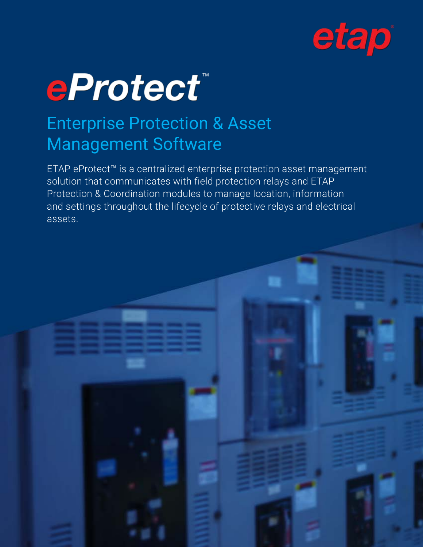



# Enterprise Protection & Asset Management Software

ETAP eProtect™ is a centralized enterprise protection asset management solution that communicates with field protection relays and ETAP Protection & Coordination modules to manage location, information and settings throughout the lifecycle of protective relays and electrical assets.